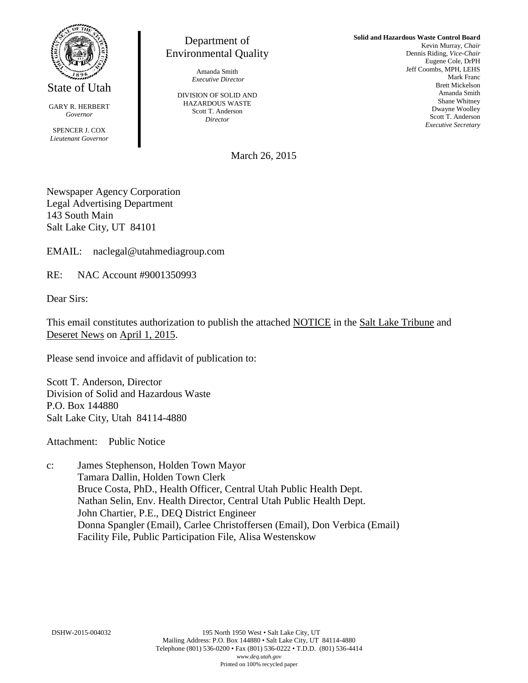

State of Utah

GARY R. HERBERT *Governor*

SPENCER J. COX *Lieutenant Governor*

Department of Environmental Quality

> Amanda Smith *Executive Director*

DIVISION OF SOLID AND HAZARDOUS WASTE Scott T. Anderson *Director*

**Solid and Hazardous Waste Control Board** Kevin Murray, *Chair* Dennis Riding, *Vice-Chair* Eugene Cole, DrPH Jeff Coombs, MPH, LEHS Mark Franc Brett Mickelson Amanda Smith Shane Whitney Dwayne Woolley Scott T. Anderson *Executive Secretary*

March 26, 2015

Newspaper Agency Corporation Legal Advertising Department 143 South Main Salt Lake City, UT 84101

EMAIL: naclegal@utahmediagroup.com

RE: NAC Account #9001350993

Dear Sirs:

This email constitutes authorization to publish the attached NOTICE in the Salt Lake Tribune and Deseret News on April 1, 2015.

Please send invoice and affidavit of publication to:

Scott T. Anderson, Director Division of Solid and Hazardous Waste P.O. Box 144880 Salt Lake City, Utah 84114-4880

Attachment: Public Notice

c: James Stephenson, Holden Town Mayor Tamara Dallin, Holden Town Clerk Bruce Costa, PhD., Health Officer, Central Utah Public Health Dept. Nathan Selin, Env. Health Director, Central Utah Public Health Dept. John Chartier, P.E., DEQ District Engineer Donna Spangler (Email), Carlee Christoffersen (Email), Don Verbica (Email) Facility File, Public Participation File, Alisa Westenskow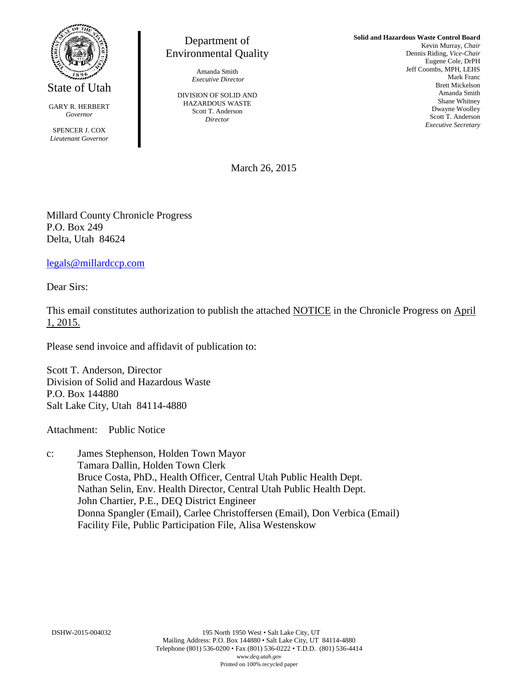

State of Utah

GARY R. HERBERT *Governor*

SPENCER J. COX *Lieutenant Governor*

Department of Environmental Quality

> Amanda Smith *Executive Director*

DIVISION OF SOLID AND HAZARDOUS WASTE Scott T. Anderson *Director*

**Solid and Hazardous Waste Control Board** Kevin Murray, *Chair* Dennis Riding, *Vice-Chair* Eugene Cole, DrPH Jeff Coombs, MPH, LEHS Mark Franc Brett Mickelson Amanda Smith Shane Whitney Dwayne Woolley Scott T. Anderson *Executive Secretary*

March 26, 2015

Millard County Chronicle Progress P.O. Box 249 Delta, Utah 84624

[legals@millardccp.com](mailto:legals@millardccp.com)

Dear Sirs:

This email constitutes authorization to publish the attached NOTICE in the Chronicle Progress on April 1, 2015.

Please send invoice and affidavit of publication to:

Scott T. Anderson, Director Division of Solid and Hazardous Waste P.O. Box 144880 Salt Lake City, Utah 84114-4880

Attachment: Public Notice

c: James Stephenson, Holden Town Mayor Tamara Dallin, Holden Town Clerk Bruce Costa, PhD., Health Officer, Central Utah Public Health Dept. Nathan Selin, Env. Health Director, Central Utah Public Health Dept. John Chartier, P.E., DEQ District Engineer Donna Spangler (Email), Carlee Christoffersen (Email), Don Verbica (Email) Facility File, Public Participation File, Alisa Westenskow